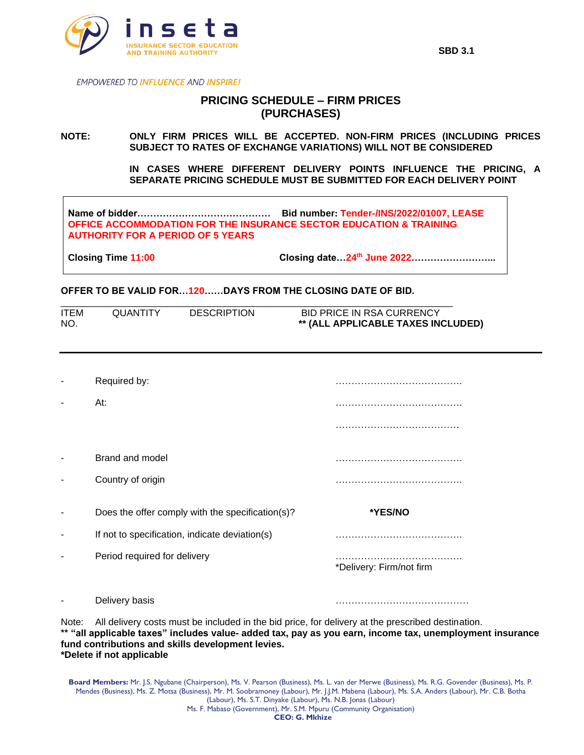

**EMPOWERED TO INFLUENCE AND INSPIRE!** 

## **PRICING SCHEDULE – FIRM PRICES (PURCHASES)**

**NOTE: ONLY FIRM PRICES WILL BE ACCEPTED. NON-FIRM PRICES (INCLUDING PRICES SUBJECT TO RATES OF EXCHANGE VARIATIONS) WILL NOT BE CONSIDERED**

> **IN CASES WHERE DIFFERENT DELIVERY POINTS INFLUENCE THE PRICING, A SEPARATE PRICING SCHEDULE MUST BE SUBMITTED FOR EACH DELIVERY POINT**

**Name of bidder…………………………………… Bid number: Tender-/INS/2022/01007, LEASE OFFICE ACCOMMODATION FOR THE INSURANCE SECTOR EDUCATION & TRAINING AUTHORITY FOR A PERIOD OF 5 YEARS**

**Closing Time 11:00 Closing date…24th June 2022……………………...**

## **OFFER TO BE VALID FOR…120……DAYS FROM THE CLOSING DATE OF BID.**

| <b>ITEM</b> | <b>QUANTITY</b> | <b>DESCRIPTION</b> | BID PRICE IN RSA CURRENCY          |
|-------------|-----------------|--------------------|------------------------------------|
| NO.         |                 |                    | ** (ALL APPLICABLE TAXES INCLUDED) |

|   | Required by:                                                                   |                               |
|---|--------------------------------------------------------------------------------|-------------------------------|
|   | At:                                                                            |                               |
|   | Brand and model<br>Country of origin                                           |                               |
|   | Does the offer comply with the specification(s)?                               | *YES/NO                       |
| ٠ | If not to specification, indicate deviation(s)<br>Period required for delivery | .<br>*Delivery: Firm/not firm |
|   |                                                                                |                               |

Note: All delivery costs must be included in the bid price, for delivery at the prescribed destination. **\*\* "all applicable taxes" includes value- added tax, pay as you earn, income tax, unemployment insurance fund contributions and skills development levies. \*Delete if not applicable**